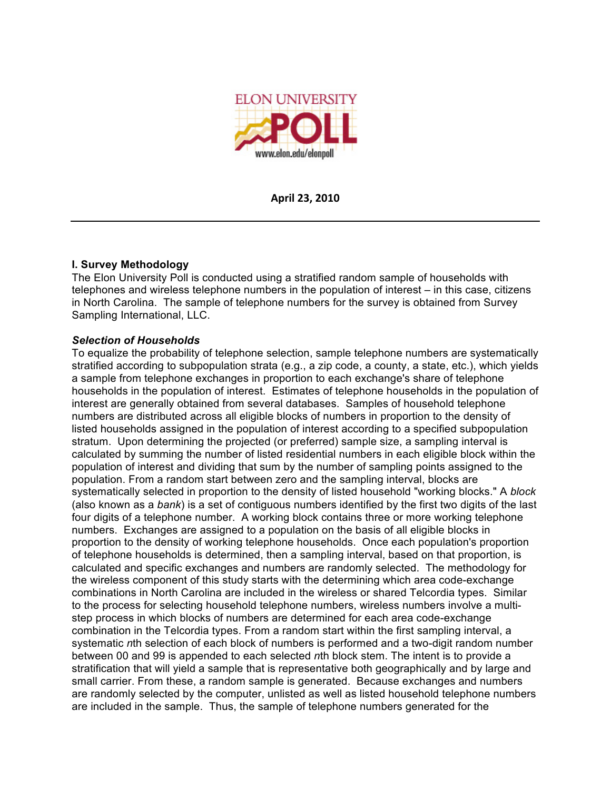

**April
23,
2010**

# **I. Survey Methodology**

The Elon University Poll is conducted using a stratified random sample of households with telephones and wireless telephone numbers in the population of interest – in this case, citizens in North Carolina. The sample of telephone numbers for the survey is obtained from Survey Sampling International, LLC.

# *Selection of Households*

To equalize the probability of telephone selection, sample telephone numbers are systematically stratified according to subpopulation strata (e.g., a zip code, a county, a state, etc.), which yields a sample from telephone exchanges in proportion to each exchange's share of telephone households in the population of interest. Estimates of telephone households in the population of interest are generally obtained from several databases. Samples of household telephone numbers are distributed across all eligible blocks of numbers in proportion to the density of listed households assigned in the population of interest according to a specified subpopulation stratum. Upon determining the projected (or preferred) sample size, a sampling interval is calculated by summing the number of listed residential numbers in each eligible block within the population of interest and dividing that sum by the number of sampling points assigned to the population. From a random start between zero and the sampling interval, blocks are systematically selected in proportion to the density of listed household "working blocks." A *block* (also known as a *bank*) is a set of contiguous numbers identified by the first two digits of the last four digits of a telephone number. A working block contains three or more working telephone numbers. Exchanges are assigned to a population on the basis of all eligible blocks in proportion to the density of working telephone households. Once each population's proportion of telephone households is determined, then a sampling interval, based on that proportion, is calculated and specific exchanges and numbers are randomly selected. The methodology for the wireless component of this study starts with the determining which area code-exchange combinations in North Carolina are included in the wireless or shared Telcordia types. Similar to the process for selecting household telephone numbers, wireless numbers involve a multistep process in which blocks of numbers are determined for each area code-exchange combination in the Telcordia types. From a random start within the first sampling interval, a systematic *n*th selection of each block of numbers is performed and a two-digit random number between 00 and 99 is appended to each selected *n*th block stem. The intent is to provide a stratification that will yield a sample that is representative both geographically and by large and small carrier. From these, a random sample is generated. Because exchanges and numbers are randomly selected by the computer, unlisted as well as listed household telephone numbers are included in the sample. Thus, the sample of telephone numbers generated for the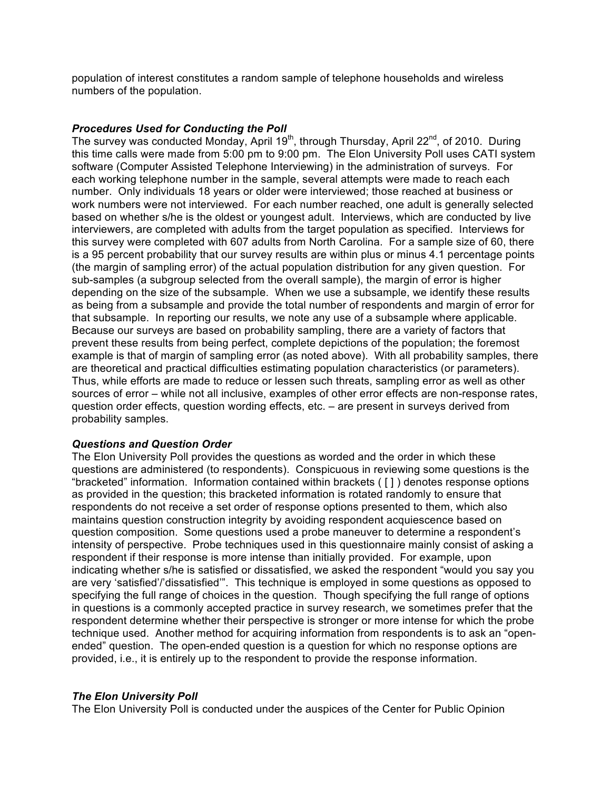population of interest constitutes a random sample of telephone households and wireless numbers of the population.

#### *Procedures Used for Conducting the Poll*

The survey was conducted Monday, April 19<sup>th</sup>, through Thursday, April 22<sup>nd</sup>, of 2010. During this time calls were made from 5:00 pm to 9:00 pm. The Elon University Poll uses CATI system software (Computer Assisted Telephone Interviewing) in the administration of surveys. For each working telephone number in the sample, several attempts were made to reach each number. Only individuals 18 years or older were interviewed; those reached at business or work numbers were not interviewed. For each number reached, one adult is generally selected based on whether s/he is the oldest or youngest adult. Interviews, which are conducted by live interviewers, are completed with adults from the target population as specified. Interviews for this survey were completed with 607 adults from North Carolina. For a sample size of 60, there is a 95 percent probability that our survey results are within plus or minus 4.1 percentage points (the margin of sampling error) of the actual population distribution for any given question. For sub-samples (a subgroup selected from the overall sample), the margin of error is higher depending on the size of the subsample. When we use a subsample, we identify these results as being from a subsample and provide the total number of respondents and margin of error for that subsample. In reporting our results, we note any use of a subsample where applicable. Because our surveys are based on probability sampling, there are a variety of factors that prevent these results from being perfect, complete depictions of the population; the foremost example is that of margin of sampling error (as noted above). With all probability samples, there are theoretical and practical difficulties estimating population characteristics (or parameters). Thus, while efforts are made to reduce or lessen such threats, sampling error as well as other sources of error – while not all inclusive, examples of other error effects are non-response rates, question order effects, question wording effects, etc. – are present in surveys derived from probability samples.

#### *Questions and Question Order*

The Elon University Poll provides the questions as worded and the order in which these questions are administered (to respondents). Conspicuous in reviewing some questions is the "bracketed" information. Information contained within brackets ( [ ] ) denotes response options as provided in the question; this bracketed information is rotated randomly to ensure that respondents do not receive a set order of response options presented to them, which also maintains question construction integrity by avoiding respondent acquiescence based on question composition. Some questions used a probe maneuver to determine a respondent's intensity of perspective. Probe techniques used in this questionnaire mainly consist of asking a respondent if their response is more intense than initially provided. For example, upon indicating whether s/he is satisfied or dissatisfied, we asked the respondent "would you say you are very 'satisfied'/'dissatisfied'". This technique is employed in some questions as opposed to specifying the full range of choices in the question. Though specifying the full range of options in questions is a commonly accepted practice in survey research, we sometimes prefer that the respondent determine whether their perspective is stronger or more intense for which the probe technique used. Another method for acquiring information from respondents is to ask an "openended" question. The open-ended question is a question for which no response options are provided, i.e., it is entirely up to the respondent to provide the response information.

#### *The Elon University Poll*

The Elon University Poll is conducted under the auspices of the Center for Public Opinion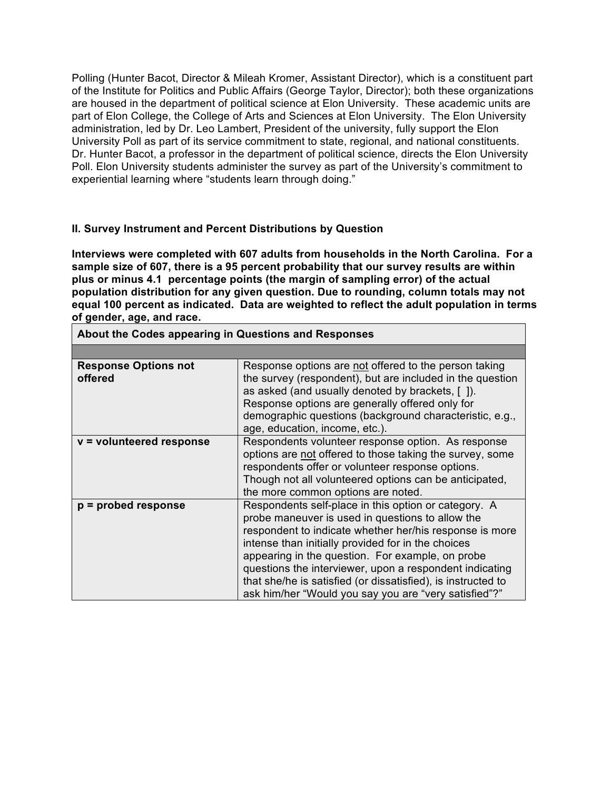Polling (Hunter Bacot, Director & Mileah Kromer, Assistant Director), which is a constituent part of the Institute for Politics and Public Affairs (George Taylor, Director); both these organizations are housed in the department of political science at Elon University. These academic units are part of Elon College, the College of Arts and Sciences at Elon University. The Elon University administration, led by Dr. Leo Lambert, President of the university, fully support the Elon University Poll as part of its service commitment to state, regional, and national constituents. Dr. Hunter Bacot, a professor in the department of political science, directs the Elon University Poll. Elon University students administer the survey as part of the University's commitment to experiential learning where "students learn through doing."

# **II. Survey Instrument and Percent Distributions by Question**

**Interviews were completed with 607 adults from households in the North Carolina. For a sample size of 607, there is a 95 percent probability that our survey results are within plus or minus 4.1 percentage points (the margin of sampling error) of the actual population distribution for any given question. Due to rounding, column totals may not equal 100 percent as indicated. Data are weighted to reflect the adult population in terms of gender, age, and race.**

| ADOUL LIIG OOGGO appearing in QueStions and Responses |                                                                                                                                                                                                                                                                                                                                                                                                                                                                   |  |
|-------------------------------------------------------|-------------------------------------------------------------------------------------------------------------------------------------------------------------------------------------------------------------------------------------------------------------------------------------------------------------------------------------------------------------------------------------------------------------------------------------------------------------------|--|
|                                                       |                                                                                                                                                                                                                                                                                                                                                                                                                                                                   |  |
| <b>Response Options not</b><br>offered                | Response options are not offered to the person taking<br>the survey (respondent), but are included in the question<br>as asked (and usually denoted by brackets, [ ]).<br>Response options are generally offered only for<br>demographic questions (background characteristic, e.g.,<br>age, education, income, etc.).                                                                                                                                            |  |
| $v =$ volunteered response                            | Respondents volunteer response option. As response<br>options are not offered to those taking the survey, some<br>respondents offer or volunteer response options.<br>Though not all volunteered options can be anticipated,<br>the more common options are noted.                                                                                                                                                                                                |  |
| $p =$ probed response                                 | Respondents self-place in this option or category. A<br>probe maneuver is used in questions to allow the<br>respondent to indicate whether her/his response is more<br>intense than initially provided for in the choices<br>appearing in the question. For example, on probe<br>questions the interviewer, upon a respondent indicating<br>that she/he is satisfied (or dissatisfied), is instructed to<br>ask him/her "Would you say you are "very satisfied"?" |  |

**About the Codes appearing in Questions and Responses**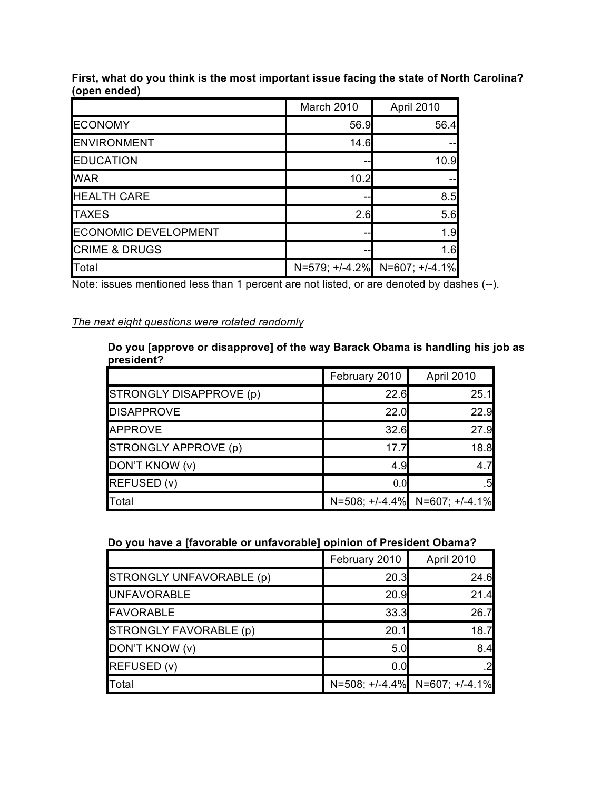|                             | March 2010     | April 2010     |
|-----------------------------|----------------|----------------|
| <b>ECONOMY</b>              | 56.9           | 56.4           |
| <b>ENVIRONMENT</b>          | 14.6           |                |
| <b>EDUCATION</b>            |                | 10.9           |
| <b>WAR</b>                  | 10.2           |                |
| <b>HEALTH CARE</b>          | --             | 8.5            |
| <b>TAXES</b>                | 2.6            | 5.6            |
| <b>ECONOMIC DEVELOPMENT</b> |                | 1.9            |
| <b>CRIME &amp; DRUGS</b>    |                | 1.6            |
| Total                       | N=579; +/-4.2% | N=607; +/-4.1% |

**First, what do you think is the most important issue facing the state of North Carolina? (open ended)**

Note: issues mentioned less than 1 percent are not listed, or are denoted by dashes (--).

# *The next eight questions were rotated randomly*

#### **Do you [approve or disapprove] of the way Barack Obama is handling his job as president?**  $\mathbb{R}$

|                         | February 2010 | April 2010                    |
|-------------------------|---------------|-------------------------------|
| STRONGLY DISAPPROVE (p) | 22.6          | 25.1                          |
| <b>DISAPPROVE</b>       | 22.0          | 22.9                          |
| APPROVE                 | 32.6          | 27.9                          |
| STRONGLY APPROVE (p)    | 17.7          | 18.8                          |
| DON'T KNOW (v)          | 4.9           | 4.7                           |
| REFUSED (v)             | 0.0           | .5                            |
| Total                   |               | N=508; +/-4.4% N=607; +/-4.1% |

#### **Do you have a [favorable or unfavorable] opinion of President Obama?**

|                          | February 2010 | April 2010                    |
|--------------------------|---------------|-------------------------------|
| STRONGLY UNFAVORABLE (p) | 20.3          | 24.6                          |
| <b>UNFAVORABLE</b>       | 20.9          | 21.4                          |
| <b>FAVORABLE</b>         | 33.3          | 26.7                          |
| STRONGLY FAVORABLE (p)   | 20.1          | 18.7                          |
| DON'T KNOW (v)           | 5.0           | 8.4                           |
| REFUSED (v)              | 0.0           | 2                             |
| Total                    |               | N=508; +/-4.4% N=607; +/-4.1% |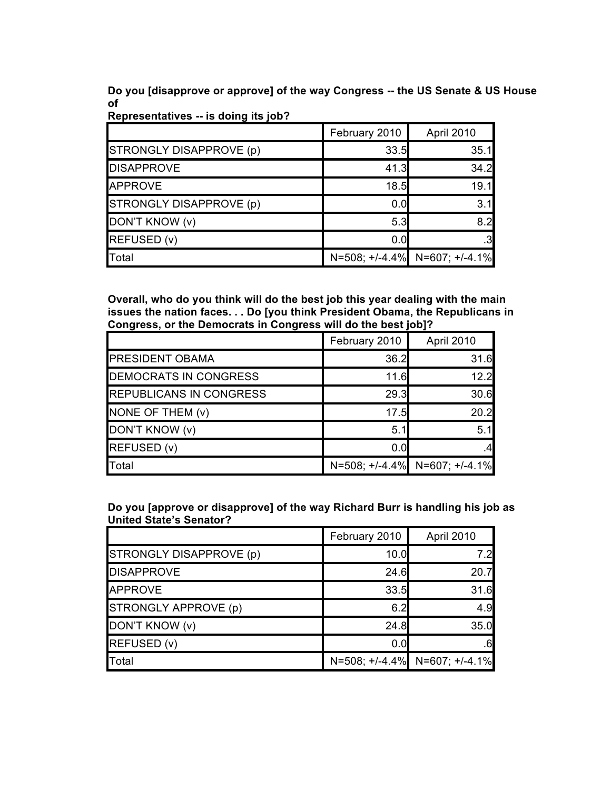**Do you [disapprove or approve] of the way Congress -- the US Senate & US House of**

|                         | February 2010 | April 2010                          |
|-------------------------|---------------|-------------------------------------|
| STRONGLY DISAPPROVE (p) | 33.5          | 35.1                                |
| <b>DISAPPROVE</b>       | 41.3          | 34.2                                |
| APPROVE                 | 18.5          | 19.1                                |
| STRONGLY DISAPPROVE (p) | 0.0           | 3.1                                 |
| DON'T KNOW (v)          | 5.3           | 8.2                                 |
| REFUSED (v)             | 0.0           | $.3\phantom{0}$                     |
| Total                   |               | $N=508; +/-4.4\%$ N=607; $+/-4.1\%$ |

**Representatives -- is doing its job?**

**Overall, who do you think will do the best job this year dealing with the main issues the nation faces. . . Do [you think President Obama, the Republicans in Congress, or the Democrats in Congress will do the best job]?**

|                                | February 2010 | April 2010                    |
|--------------------------------|---------------|-------------------------------|
| <b>PRESIDENT OBAMA</b>         | 36.2          | 31.6                          |
| <b>DEMOCRATS IN CONGRESS</b>   | 11.6          | 12.2                          |
| <b>REPUBLICANS IN CONGRESS</b> | 29.3          | 30.6                          |
| NONE OF THEM $(v)$             | 17.5          | 20.2                          |
| DON'T KNOW (v)                 | 5.1           | 5.1                           |
| REFUSED (v)                    | 0.0           |                               |
| Total                          |               | N=508; +/-4.4% N=607; +/-4.1% |

**Do you [approve or disapprove] of the way Richard Burr is handling his job as United State's Senator?**

|                         | February 2010 | April 2010                    |
|-------------------------|---------------|-------------------------------|
| STRONGLY DISAPPROVE (p) | 10.0          | 7.2                           |
| <b>DISAPPROVE</b>       | 24.6          | 20.7                          |
| <b>APPROVE</b>          | 33.5          | 31.6                          |
| STRONGLY APPROVE (p)    | 6.2           | 4.9                           |
| DON'T KNOW (v)          | 24.8          | 35.0                          |
| REFUSED (v)             | 0.0           | $.6 \,$                       |
| Total                   |               | N=508; +/-4.4% N=607; +/-4.1% |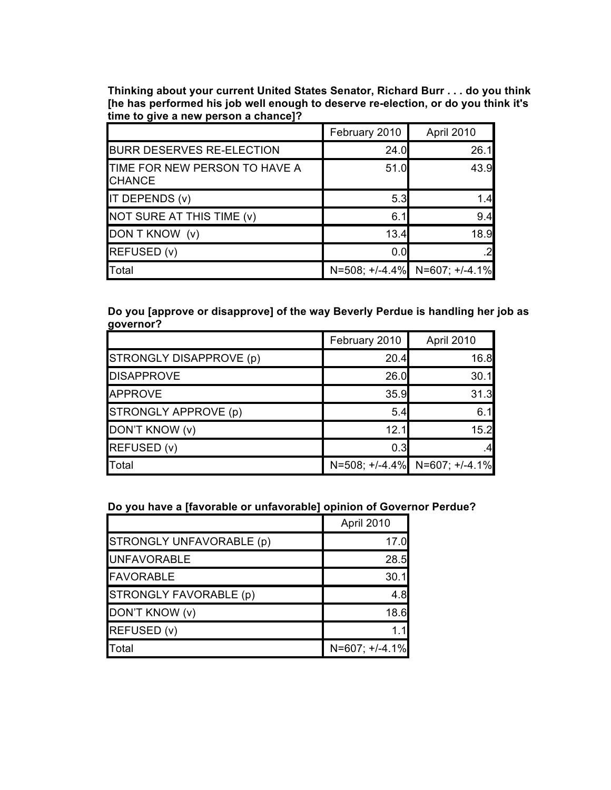**Thinking about your current United States Senator, Richard Burr . . . do you think [he has performed his job well enough to deserve re-election, or do you think it's time to give a new person a chance]?**

|                                                | February 2010 | April 2010                    |
|------------------------------------------------|---------------|-------------------------------|
| <b>BURR DESERVES RE-ELECTION</b>               | 24.0          | 26.1                          |
| TIME FOR NEW PERSON TO HAVE A<br><b>CHANCE</b> | 51.0          | 43.9                          |
| IT DEPENDS (v)                                 | 5.3           | 1.4                           |
| NOT SURE AT THIS TIME (v)                      | 6.1           | 9.4                           |
| DON T KNOW (v)                                 | 13.4          | 18.9                          |
| REFUSED (v)                                    | 0.0           | .21                           |
| Total                                          |               | N=508; +/-4.4% N=607; +/-4.1% |

**Do you [approve or disapprove] of the way Beverly Perdue is handling her job as governor?**

|                         | February 2010 | April 2010                    |
|-------------------------|---------------|-------------------------------|
| STRONGLY DISAPPROVE (p) | 20.4          | 16.8                          |
| <b>DISAPPROVE</b>       | 26.0          | 30.1                          |
| <b>APPROVE</b>          | 35.9          | 31.3                          |
| STRONGLY APPROVE (p)    | 5.4           | 6.1                           |
| DON'T KNOW (v)          | 12.1          | 15.2                          |
| REFUSED (v)             | 0.3           | .4                            |
| Total                   |               | N=508; +/-4.4% N=607; +/-4.1% |

**Do you have a [favorable or unfavorable] opinion of Governor Perdue?**

|                          | April 2010       |
|--------------------------|------------------|
| STRONGLY UNFAVORABLE (p) | 17.0             |
| <b>UNFAVORABLE</b>       | 28.5             |
| <b>FAVORABLE</b>         | 30.1             |
| STRONGLY FAVORABLE (p)   | 4.8              |
| DON'T KNOW (v)           | 18.6             |
| REFUSED (v)              |                  |
| Total                    | $N=607; +/-4.1%$ |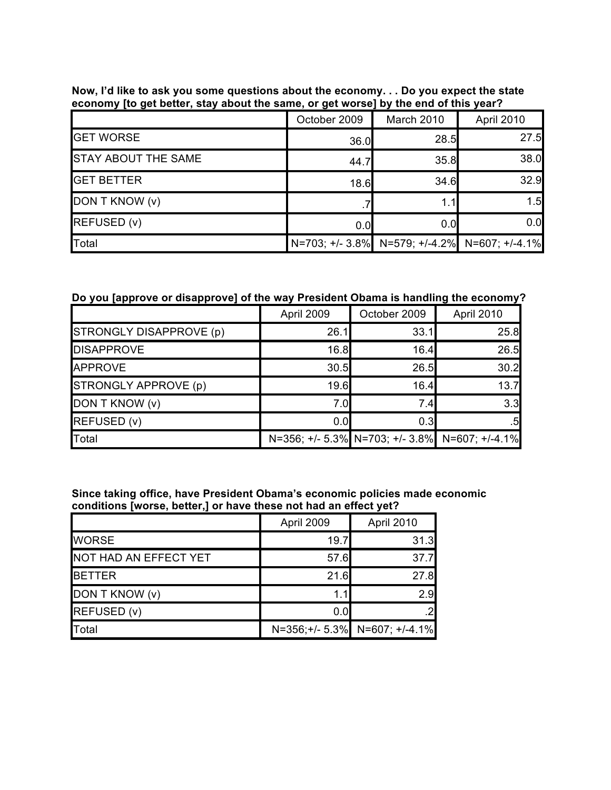|                            | October 2009 | March 2010                                    | April 2010 |
|----------------------------|--------------|-----------------------------------------------|------------|
| <b>GET WORSE</b>           | 36.0         | 28.5                                          | 27.5       |
| <b>STAY ABOUT THE SAME</b> | 44.7         | 35.8                                          | 38.0       |
| <b>GET BETTER</b>          | 18.6         | 34.6                                          | 32.9       |
| DON T KNOW (v)             |              | 1.1                                           | 1.5        |
| REFUSED (v)                | 0.0          | 0.0                                           | 0.0        |
| Total                      |              | N=703; +/- 3.8% N=579; +/-4.2% N=607; +/-4.1% |            |

# **Now, I'd like to ask you some questions about the economy. . . Do you expect the state economy [to get better, stay about the same, or get worse] by the end of this year?**

# **Do you [approve or disapprove] of the way President Obama is handling the economy?**

|                         | April 2009 | October 2009 | April 2010                                     |
|-------------------------|------------|--------------|------------------------------------------------|
| STRONGLY DISAPPROVE (p) | 26.1       | 33.1         | 25.8                                           |
| <b>DISAPPROVE</b>       | 16.8       | 16.4         | 26.5                                           |
| <b>APPROVE</b>          | 30.5       | 26.5         | 30.2                                           |
| STRONGLY APPROVE (p)    | 19.6       | 16.4         | 13.7                                           |
| DON T KNOW (v)          | 7.0        | 7.4          | 3.3                                            |
| REFUSED (v)             | 0.0        | 0.3          | $.5 \blacksquare$                              |
| Total                   |            |              | N=356; +/- 5.3% N=703; +/- 3.8% N=607; +/-4.1% |

**Since taking office, have President Obama's economic policies made economic conditions [worse, better,] or have these not had an effect yet?**

|                       | April 2009 | April 2010                    |
|-----------------------|------------|-------------------------------|
| <b>WORSE</b>          | 19.7       | 31.3                          |
| NOT HAD AN EFFECT YET | 57.6       | 37.7                          |
| <b>BETTER</b>         | 21.6       | 27.8                          |
| DON T KNOW (v)        |            | 2.9                           |
| REFUSED (v)           | 0.0        |                               |
| Total                 |            | N=356;+/- 5.3% N=607; +/-4.1% |